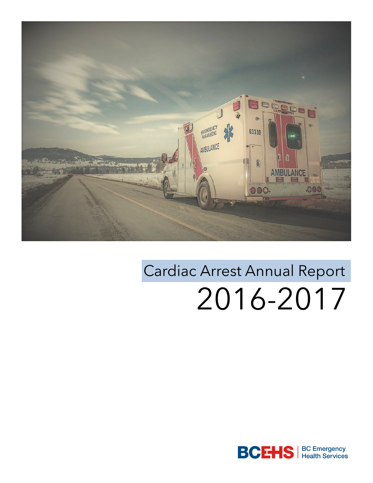

# Cardiac Arrest Annual Report 2016-2017

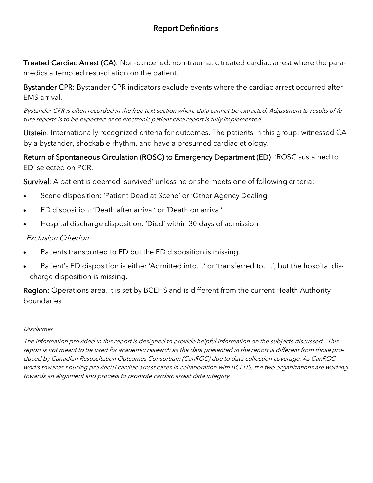### Report Definitions

Treated Cardiac Arrest (CA): Non-cancelled, non-traumatic treated cardiac arrest where the paramedics attempted resuscitation on the patient.

Bystander CPR: Bystander CPR indicators exclude events where the cardiac arrest occurred after EMS arrival.

Bystander CPR is often recorded in the free text section where data cannot be extracted. Adjustment to results of future reports is to be expected once electronic patient care report is fully implemented.

Utstein: Internationally recognized criteria for outcomes. The patients in this group: witnessed CA by a bystander, shockable rhythm, and have a presumed cardiac etiology.

Return of Spontaneous Circulation (ROSC) to Emergency Department (ED): 'ROSC sustained to ED' selected on PCR.

Survival: A patient is deemed 'survived' unless he or she meets one of following criteria:

- Scene disposition: 'Patient Dead at Scene' or 'Other Agency Dealing'
- ED disposition: 'Death after arrival' or 'Death on arrival'
- Hospital discharge disposition: 'Died' within 30 days of admission

#### Exclusion Criterion

- Patients transported to ED but the ED disposition is missing.
- Patient's ED disposition is either 'Admitted into…' or 'transferred to….', but the hospital discharge disposition is missing.

Region: Operations area. It is set by BCEHS and is different from the current Health Authority boundaries

#### Disclaimer

The information provided in this report is designed to provide helpful information on the subjects discussed. This report is not meant to be used for academic research as the data presented in the report is different from those produced by Canadian Resuscitation Outcomes Consortium (CanROC) due to data collection coverage. As CanROC works towards housing provincial cardiac arrest cases in collaboration with BCEHS, the two organizations are working towards an alignment and process to promote cardiac arrest data integrity.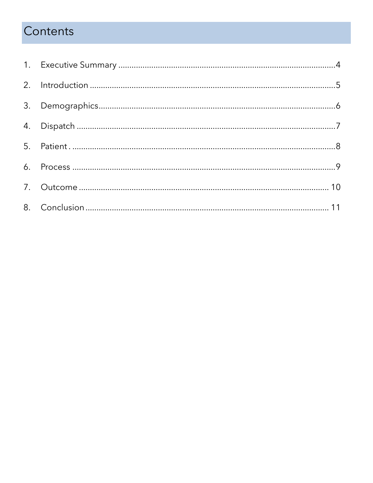# Contents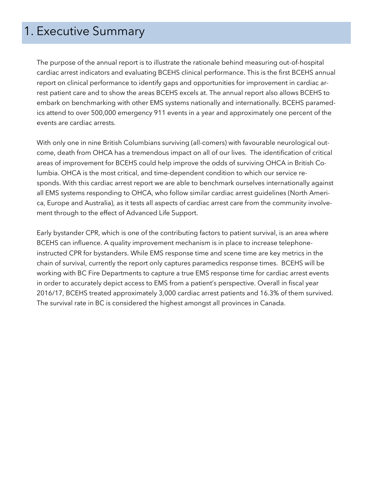## 1. Executive Summary

The purpose of the annual report is to illustrate the rationale behind measuring out-of-hospital cardiac arrest indicators and evaluating BCEHS clinical performance. This is the first BCEHS annual report on clinical performance to identify gaps and opportunities for improvement in cardiac arrest patient care and to show the areas BCEHS excels at. The annual report also allows BCEHS to embark on benchmarking with other EMS systems nationally and internationally. BCEHS paramedics attend to over 500,000 emergency 911 events in a year and approximately one percent of the events are cardiac arrests.

With only one in nine British Columbians surviving (all-comers) with favourable neurological outcome, death from OHCA has a tremendous impact on all of our lives. The identification of critical areas of improvement for BCEHS could help improve the odds of surviving OHCA in British Columbia. OHCA is the most critical, and time-dependent condition to which our service responds. With this cardiac arrest report we are able to benchmark ourselves internationally against all EMS systems responding to OHCA, who follow similar cardiac arrest guidelines (North America, Europe and Australia), as it tests all aspects of cardiac arrest care from the community involvement through to the effect of Advanced Life Support.

Early bystander CPR, which is one of the contributing factors to patient survival, is an area where BCEHS can influence. A quality improvement mechanism is in place to increase telephoneinstructed CPR for bystanders. While EMS response time and scene time are key metrics in the chain of survival, currently the report only captures paramedics response times. BCEHS will be working with BC Fire Departments to capture a true EMS response time for cardiac arrest events in order to accurately depict access to EMS from a patient's perspective. Overall in fiscal year 2016/17, BCEHS treated approximately 3,000 cardiac arrest patients and 16.3% of them survived. The survival rate in BC is considered the highest amongst all provinces in Canada.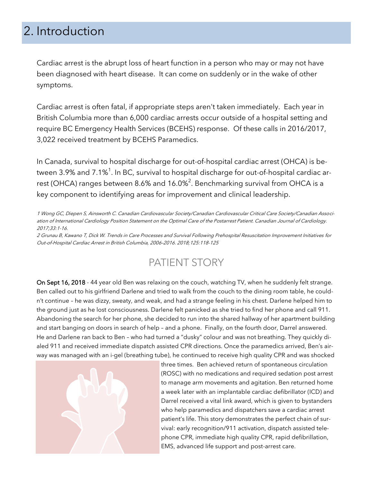# 2. Introduction

Cardiac arrest is the abrupt loss of heart function in a person who may or may not have been diagnosed with heart disease. It can come on suddenly or in the wake of other symptoms.

Cardiac arrest is often fatal, if appropriate steps aren't taken immediately. Each year in British Columbia more than 6,000 cardiac arrests occur outside of a hospital setting and require BC Emergency Health Services (BCEHS) response. Of these calls in 2016/2017, 3,022 received treatment by BCEHS Paramedics.

In Canada, survival to hospital discharge for out-of-hospital cardiac arrest (OHCA) is between 3.9% and 7.1% $^{\rm 1}$ . In BC, survival to hospital discharge for out-of-hospital cardiac arrest (OHCA) ranges between 8.6% and 16.0% $^2$ . Benchmarking survival from OHCA is a key component to identifying areas for improvement and clinical leadership.

1 Wong GC, Diepen S, Ainsworth C. Canadian Cardiovascular Society/Canadian Cardiovascular Critical Care Society/Canadian Association of International Cardiology Position Statement on the Optimal Care of the Postarrest Patient. Canadian Journal of Cardiology. 2017;33:1-16.

2 Grunau B, Kawano T, Dick W. Trends in Care Processes and Survival Following Prehospital Resuscitation Improvement Initiatives for Out-of-Hospital Cardiac Arrest in British Columbia, 2006–2016. 2018;125:118-125

## PATIENT STORY

On Sept 16, 2018 - 44 year old Ben was relaxing on the couch, watching TV, when he suddenly felt strange. Ben called out to his girlfriend Darlene and tried to walk from the couch to the dining room table, he couldn't continue – he was dizzy, sweaty, and weak, and had a strange feeling in his chest. Darlene helped him to the ground just as he lost consciousness. Darlene felt panicked as she tried to find her phone and call 911. Abandoning the search for her phone, she decided to run into the shared hallway of her apartment building and start banging on doors in search of help – and a phone. Finally, on the fourth door, Darrel answered. He and Darlene ran back to Ben – who had turned a "dusky" colour and was not breathing. They quickly dialed 911 and received immediate dispatch assisted CPR directions. Once the paramedics arrived, Ben's airway was managed with an i-gel (breathing tube), he continued to receive high quality CPR and was shocked



three times. Ben achieved return of spontaneous circulation (ROSC) with no medications and required sedation post arrest to manage arm movements and agitation. Ben returned home a week later with an implantable cardiac defibrillator (ICD) and Darrel received a vital link award, which is given to bystanders who help paramedics and dispatchers save a cardiac arrest patient's life. This story demonstrates the perfect chain of survival: early recognition/911 activation, dispatch assisted telephone CPR, immediate high quality CPR, rapid defibrillation, EMS, advanced life support and post-arrest care.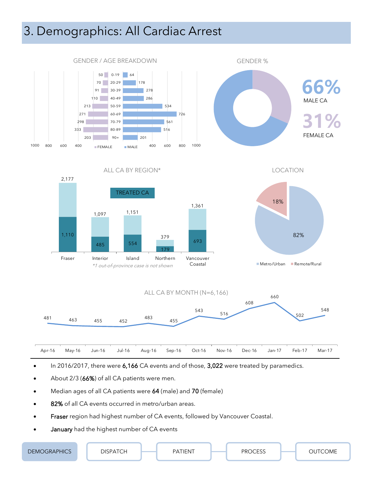# 3. Demographics: All Cardiac Arrest



- In 2016/2017, there were 6,166 CA events and of those, 3,022 were treated by paramedics.
- About 2/3 (66%) of all CA patients were men.
- Median ages of all CA patients were 64 (male) and 70 (female)
- 82% of all CA events occurred in metro/urban areas.
- Fraser region had highest number of CA events, followed by Vancouver Coastal.
- January had the highest number of CA events

| RAPHICS<br><b>DEMC</b><br><b>JRAFF</b> | $\cdot$ $\sim$ $\sim$ $\cdot$<br>NSPA<br>.<br>∼ | ATIENT<br>PΛ | $\sim$ $\sim$ $\sim$<br>PR <sub>C</sub><br>$\lambda$ | JTCOME<br>н |
|----------------------------------------|-------------------------------------------------|--------------|------------------------------------------------------|-------------|
|----------------------------------------|-------------------------------------------------|--------------|------------------------------------------------------|-------------|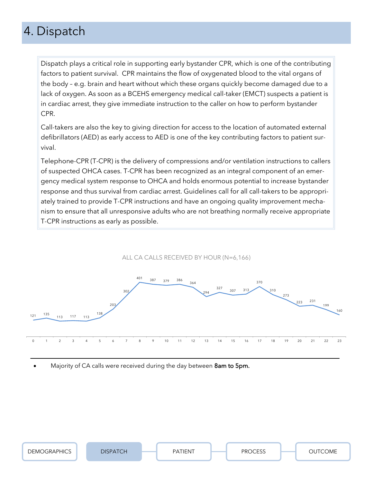# 4. Dispatch

Dispatch plays a critical role in supporting early bystander CPR, which is one of the contributing factors to patient survival. CPR maintains the flow of oxygenated blood to the vital organs of the body – e.g. brain and heart without which these organs quickly become damaged due to a lack of oxygen. As soon as a BCEHS emergency medical call-taker (EMCT) suspects a patient is in cardiac arrest, they give immediate instruction to the caller on how to perform bystander CPR.

Call-takers are also the key to giving direction for access to the location of automated external defibrillators (AED) as early access to AED is one of the key contributing factors to patient survival.

Telephone-CPR (T-CPR) is the delivery of compressions and/or ventilation instructions to callers of suspected OHCA cases. T-CPR has been recognized as an integral component of an emergency medical system response to OHCA and holds enormous potential to increase bystander response and thus survival from cardiac arrest. Guidelines call for all call-takers to be appropriately trained to provide T-CPR instructions and have an ongoing quality improvement mechanism to ensure that all unresponsive adults who are not breathing normally receive appropriate T-CPR instructions as early as possible.



Majority of CA calls were received during the day between 8am to 5pm.

| <b>DEMOGRAPHICS</b> |  | $\sim$ $\sim$<br>◡ |        |  | PROCESS<br>◡└◡<br>. |  | OME |
|---------------------|--|--------------------|--------|--|---------------------|--|-----|
|                     |  |                    | .⊢IN - |  |                     |  |     |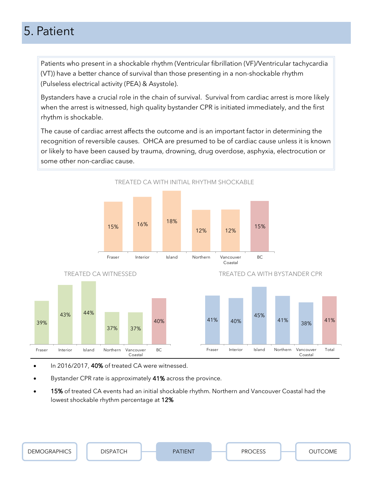# 5. Patient

Patients who present in a shockable rhythm (Ventricular fibrillation (VF)/Ventricular tachycardia (VT)) have a better chance of survival than those presenting in a non-shockable rhythm (Pulseless electrical activity (PEA) & Asystole).

Bystanders have a crucial role in the chain of survival. Survival from cardiac arrest is more likely when the arrest is witnessed, high quality bystander CPR is initiated immediately, and the first rhythm is shockable.

The cause of cardiac arrest affects the outcome and is an important factor in determining the recognition of reversible causes. OHCA are presumed to be of cardiac cause unless it is known or likely to have been caused by trauma, drowning, drug overdose, asphyxia, electrocution or some other non-cardiac cause.



- In 2016/2017, 40% of treated CA were witnessed.
- Bystander CPR rate is approximately 41% across the province.
- 15% of treated CA events had an initial shockable rhythm. Northern and Vancouver Coastal had the lowest shockable rhythm percentage at 12%

| <b>DEMOGRAPHICS</b> | DISPATCH | <b>FIENT</b><br>D V. | $\sim$ $\sim$ $\sim$<br>∩סם | <b>OME</b> |
|---------------------|----------|----------------------|-----------------------------|------------|
|                     | ◡        |                      | ັ                           |            |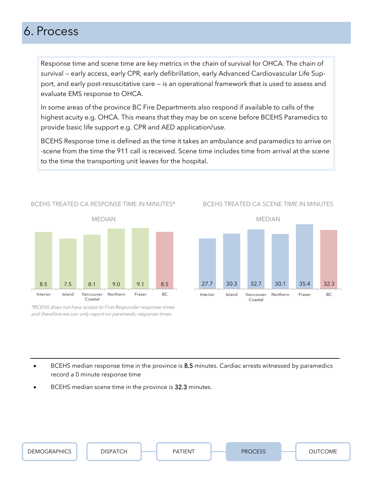# 6. Process

Response time and scene time are key metrics in the chain of survival for OHCA. The chain of survival — early access, early CPR, early defibrillation, early Advanced Cardiovascular Life Support, and early post-resuscitative care — is an operational framework that is used to assess and evaluate EMS response to OHCA.

In some areas of the province BC Fire Departments also respond if available to calls of the highest acuity e.g. OHCA. This means that they may be on scene before BCEHS Paramedics to provide basic life support e.g. CPR and AED application/use.

BCEHS Response time is defined as the time it takes an ambulance and paramedics to arrive on -scene from the time the 911 call is received. Scene time includes time from arrival at the scene to the time the transporting unit leaves for the hospital.



BCEHS TREATED CA RESPONSE TIME IN MINUTES\*

\*BCEHS does not have access to First Responder response times and therefore we can only report on paramedic response times.

BCEHS TREATED CA SCENE TIME IN MINUTES



BCEHS median response time in the province is 8.5 minutes. Cardiac arrests witnessed by paramedics record a 0 minute response time

BCEHS median scene time in the province is 32.3 minutes.

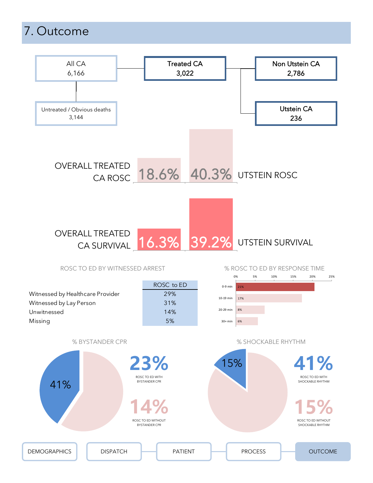# 7. Outcome